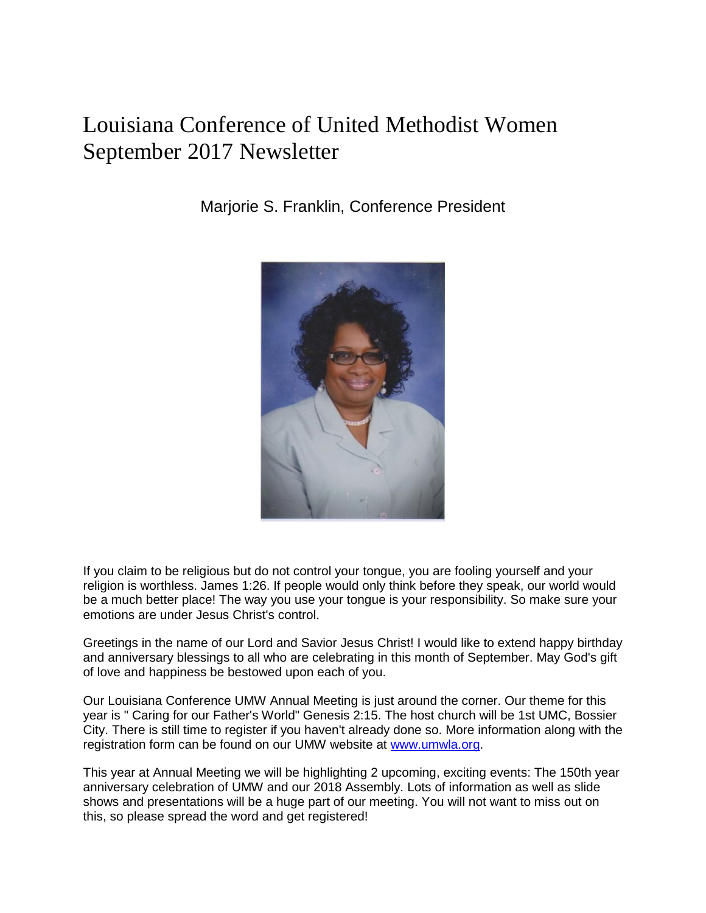## Louisiana Conference of United Methodist Women September 2017 Newsletter

Marjorie S. Franklin, Conference President



If you claim to be religious but do not control your tongue, you are fooling yourself and your religion is worthless. James 1:26. If people would only think before they speak, our world would be a much better place! The way you use your tongue is your responsibility. So make sure your emotions are under Jesus Christ's control.

Greetings in the name of our Lord and Savior Jesus Christ! I would like to extend happy birthday and anniversary blessings to all who are celebrating in this month of September. May God's gift of love and happiness be bestowed upon each of you.

Our Louisiana Conference UMW Annual Meeting is just around the corner. Our theme for this year is " Caring for our Father's World" Genesis 2:15. The host church will be 1st UMC, Bossier City. There is still time to register if you haven't already done so. More information along with the registration form can be found on our UMW website at www.umwla.org.

This year at Annual Meeting we will be highlighting 2 upcoming, exciting events: The 150th year anniversary celebration of UMW and our 2018 Assembly. Lots of information as well as slide shows and presentations will be a huge part of our meeting. You will not want to miss out on this, so please spread the word and get registered!